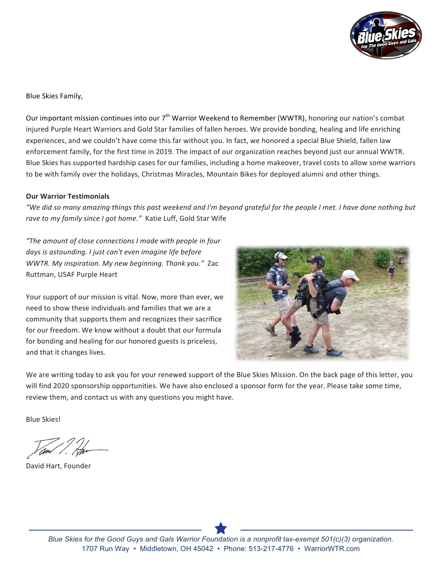

Blue Skies Family,

Our important mission continues into our  $7<sup>th</sup>$  Warrior Weekend to Remember (WWTR), honoring our nation's combat injured Purple Heart Warriors and Gold Star families of fallen heroes. We provide bonding, healing and life enriching experiences, and we couldn't have come this far without you. In fact, we honored a special Blue Shield, fallen law enforcement family, for the first time in 2019. The impact of our organization reaches beyond just our annual WWTR. Blue Skies has supported hardship cases for our families, including a home makeover, travel costs to allow some warriors to be with family over the holidays, Christmas Miracles, Mountain Bikes for deployed alumni and other things.

## **Our Warrior Testimonials**

*"We did so many amazing things this past weekend and I'm beyond grateful for the people I met. I have done nothing but* rave to my family since I got home." Katie Luff, Gold Star Wife

*"The amount of close connections I made with people in four*  days is astounding. I just can't even imagine life before *WWTR. My inspiration. My new beginning. Thank you.*" Zac Ruttman, USAF Purple Heart

Your support of our mission is vital. Now, more than ever, we need to show these individuals and families that we are a community that supports them and recognizes their sacrifice for our freedom. We know without a doubt that our formula for bonding and healing for our honored guests is priceless, and that it changes lives.



We are writing today to ask you for your renewed support of the Blue Skies Mission. On the back page of this letter, you will find 2020 sponsorship opportunities. We have also enclosed a sponsor form for the year. Please take some time, review them, and contact us with any questions you might have.

Blue Skies!

David Hart, Founder

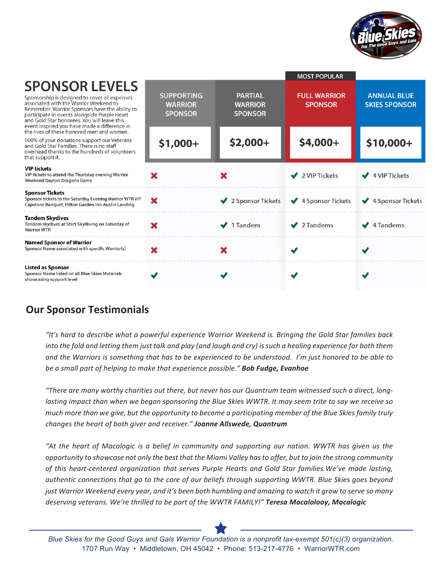

|                                                                                                                                                                                                                                                                                                                   |                                                       |                                                    | <b>MOST POPULAR</b>                   |                                            |
|-------------------------------------------------------------------------------------------------------------------------------------------------------------------------------------------------------------------------------------------------------------------------------------------------------------------|-------------------------------------------------------|----------------------------------------------------|---------------------------------------|--------------------------------------------|
| <b>SPONSOR LEVELS</b><br>Sponsorship is designed to cover all expenses<br>associated with the Warrior Weekend to<br>Remember. Warrior Sponsors have the ability to<br>participate in events alongside Purple Heart<br>and Gold Star honorees. You will leave this<br>event inspired you have made a difference in | <b>SUPPORTING</b><br><b>WARRIOR</b><br><b>SPONSOR</b> | <b>PARTIAL</b><br><b>WARRIOR</b><br><b>SPONSOR</b> | <b>FULL WARRIOR</b><br><b>SPONSOR</b> | <b>ANNUAL BLUE</b><br><b>SKIES SPONSOR</b> |
| the lives of these honored men and women.<br>100% of your donations support our Veterans<br>and Gold Star Families. There is no staff<br>overhead thanks to the hundreds of volunteers<br>that support it.                                                                                                        | $$1,000+$                                             | $$2,000+$                                          | \$4,000+                              | \$10,000+                                  |
| <b>VIP tickets</b><br>VIP tickets to attend the Thursday evening Warrior<br><b>Weekend Dayton Dragons Game</b>                                                                                                                                                                                                    | x                                                     |                                                    | $\vee$ 2 VIP Tickets                  | $\sqrt{4}$ VIP Tickets                     |
| <b>Sponsor Tickets</b><br>Sponsor tickets to the Saturday Evening Warrior WTR VIP<br>Capstone Banquet, Hilton Garden Inn Austin Landing                                                                                                                                                                           | ×                                                     | 2 Sponsor Tickets                                  | ◆ 4 Sponsor Tickets                   | 4 Sponsor Tickets<br>$\checkmark$          |
| <b>Tandem Skydives</b><br>Tandem skydives at Start Skydiving on Saturday of<br><b>Warrior WTR</b>                                                                                                                                                                                                                 | ×                                                     | 1 Tandem                                           | $\sqrt{2}$ Tandems                    | 4 Tandems                                  |
| <b>Named Sponsor of Warrior</b><br>Sponsor Name associated with specific Warrior(s)                                                                                                                                                                                                                               | ×                                                     |                                                    |                                       |                                            |
| <b>Listed as Sponsor</b><br>Sponsor Name listed on all Blue Skies Materials<br>showcasing support level                                                                                                                                                                                                           |                                                       |                                                    |                                       |                                            |

## **Our Sponsor Testimonials**

"It's hard to describe what a powerful experience Warrior Weekend is. Bringing the Gold Star families back *into* the fold and letting them just talk and play (and laugh and cry) is such a healing experience for both them and the Warriors is something that has to be experienced to be understood. *I'm* just honored to be able to *be a small part of helping to make that experience possible."* **Bob Fudge, Evanhoe** 

"There are many worthy charities out there, but never has our Quantrum team witnessed such a direct, long*lasting* impact than when we began sponsoring the Blue Skies WWTR. It may seem trite to say we receive so much more than we give, but the opportunity to become a participating member of the Blue Skies family truly *changes the heart of both giver and receiver." Joanne Allswede, Quantrum* 

"At the heart of Macalogic is a belief in community and supporting our nation. WWTR has given us the *opportunity* to showcase not only the best that the Miami Valley has to offer, but to join the strong community of this heart-centered organization that serves Purple Hearts and Gold Star families. We've made lasting, *authentic connections that go to the core of our beliefs through supporting WWTR. Blue Skies goes beyond just Warrior Weekend every year, and it's been both humbling and amazing to watch it grow to serve so many deserving* veterans. We're thrilled to be part of the WWTR FAMILY!" Teresa Macalolooy, Macalogic



*Blue Skies for the Good Guys and Gals Warrior Foundation is a nonprofit tax-exempt 501(c)(3) organization.* 1707 Run Way • Middletown, OH 45042 • Phone: 513-217-4776 • WarriorWTR.com